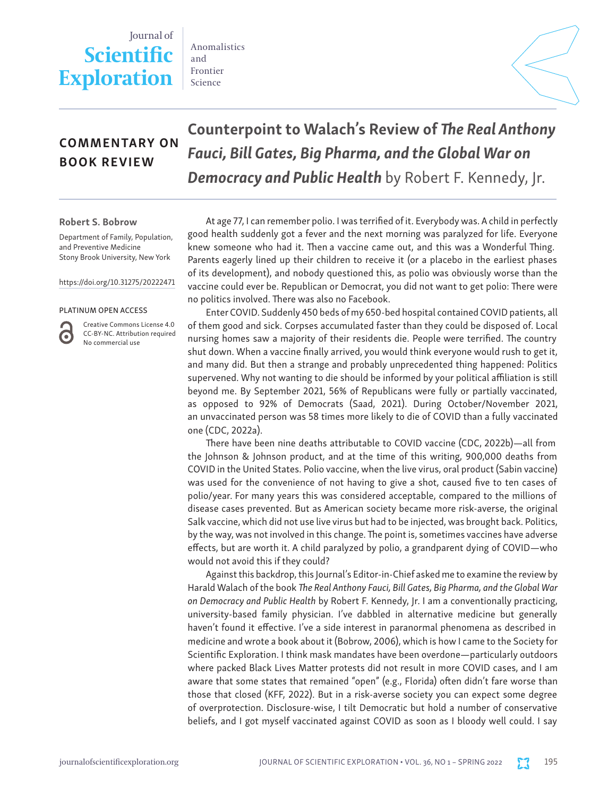# Journal of **Scientific Exploration**

Anomalistics and Frontier Science



## COMMENTARY ON BOOK REVIEW

Counterpoint to Walach's Review of *The Real Anthony Fauci, Bill Gates, Big Pharma, and the Global War on Democracy and Public Health* by Robert F. Kennedy, Jr.

#### Robert S. Bobrow

Department of Family, Population, and Preventive Medicine Stony Brook University, New York

https://doi.org/10.31275/20222471

#### PLATINUM OPEN ACCESS

Creative Commons License 4.0 CC-BY-NC. Attribution required No commercial use

At age 77, I can remember polio. I was terrified of it. Everybody was. A child in perfectly good health suddenly got a fever and the next morning was paralyzed for life. Everyone knew someone who had it. Then a vaccine came out, and this was a Wonderful Thing. Parents eagerly lined up their children to receive it (or a placebo in the earliest phases of its development), and nobody questioned this, as polio was obviously worse than the vaccine could ever be. Republican or Democrat, you did not want to get polio: There were no politics involved. There was also no Facebook.

Enter COVID. Suddenly 450 beds of my 650-bed hospital contained COVID patients, all of them good and sick. Corpses accumulated faster than they could be disposed of. Local nursing homes saw a majority of their residents die. People were terrified. The country shut down. When a vaccine finally arrived, you would think everyone would rush to get it, and many did. But then a strange and probably unprecedented thing happened: Politics supervened. Why not wanting to die should be informed by your political affiliation is still beyond me. By September 2021, 56% of Republicans were fully or partially vaccinated, as opposed to 92% of Democrats (Saad, 2021). During October/November 2021, an unvaccinated person was 58 times more likely to die of COVID than a fully vaccinated one (CDC, 2022a).

There have been nine deaths attributable to COVID vaccine (CDC, 2022b)—all from the Johnson & Johnson product, and at the time of this writing, 900,000 deaths from COVID in the United States. Polio vaccine, when the live virus, oral product (Sabin vaccine) was used for the convenience of not having to give a shot, caused five to ten cases of polio/year. For many years this was considered acceptable, compared to the millions of disease cases prevented. But as American society became more risk-averse, the original Salk vaccine, which did not use live virus but had to be injected, was brought back. Politics, by the way, was not involved in this change. The point is, sometimes vaccines have adverse effects, but are worth it. A child paralyzed by polio, a grandparent dying of COVID—who would not avoid this if they could?

Against this backdrop, this Journal's Editor-in-Chief asked me to examine the review by Harald Walach of the book *The Real Anthony Fauci, Bill Gates, Big Pharma, and the Global War on Democracy and Public Health* by Robert F. Kennedy, Jr. I am a conventionally practicing, university-based family physician. I've dabbled in alternative medicine but generally haven't found it effective. I've a side interest in paranormal phenomena as described in medicine and wrote a book about it (Bobrow, 2006), which is how I came to the Society for Scientific Exploration. I think mask mandates have been overdone—particularly outdoors where packed Black Lives Matter protests did not result in more COVID cases, and I am aware that some states that remained "open" (e.g., Florida) often didn't fare worse than those that closed (KFF, 2022). But in a risk-averse society you can expect some degree of overprotection. Disclosure-wise, I tilt Democratic but hold a number of conservative beliefs, and I got myself vaccinated against COVID as soon as I bloody well could. I say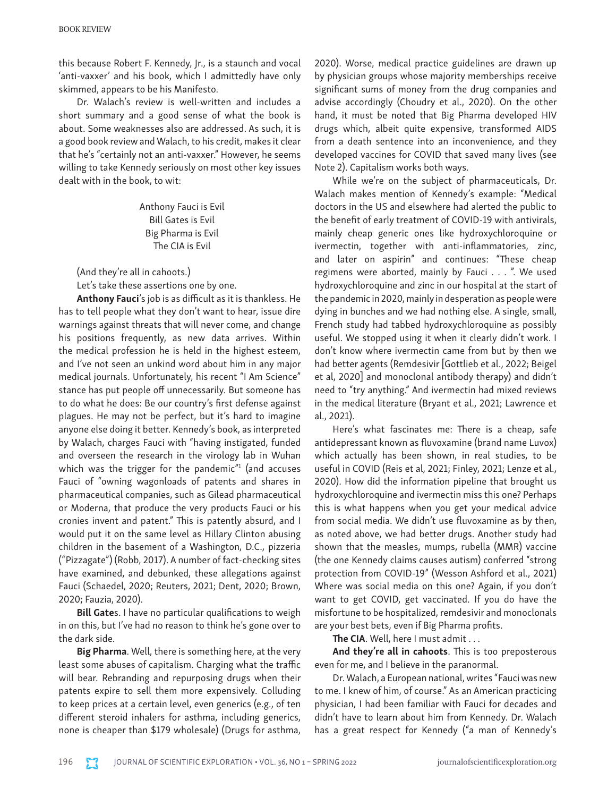this because Robert F. Kennedy, Jr., is a staunch and vocal 'anti-vaxxer' and his book, which I admittedly have only skimmed, appears to be his Manifesto.

Dr. Walach's review is well-written and includes a short summary and a good sense of what the book is about. Some weaknesses also are addressed. As such, it is a good book review and Walach, to his credit, makes it clear that he's "certainly not an anti-vaxxer." However, he seems willing to take Kennedy seriously on most other key issues dealt with in the book, to wit:

> Anthony Fauci is Evil Bill Gates is Evil Big Pharma is Evil The CIA is Evil

(And they're all in cahoots.)

Let's take these assertions one by one.

Anthony Fauci's job is as difficult as it is thankless. He has to tell people what they don't want to hear, issue dire warnings against threats that will never come, and change his positions frequently, as new data arrives. Within the medical profession he is held in the highest esteem, and I've not seen an unkind word about him in any major medical journals. Unfortunately, his recent "I Am Science" stance has put people off unnecessarily. But someone has to do what he does: Be our country's first defense against plagues. He may not be perfect, but it's hard to imagine anyone else doing it better. Kennedy's book, as interpreted by Walach, charges Fauci with "having instigated, funded and overseen the research in the virology lab in Wuhan which was the trigger for the pandemic" $1$  (and accuses Fauci of "owning wagonloads of patents and shares in pharmaceutical companies, such as Gilead pharmaceutical or Moderna, that produce the very products Fauci or his cronies invent and patent." This is patently absurd, and I would put it on the same level as Hillary Clinton abusing children in the basement of a Washington, D.C., pizzeria ("Pizzagate") (Robb, 2017). A number of fact-checking sites have examined, and debunked, these allegations against Fauci (Schaedel, 2020; Reuters, 2021; Dent, 2020; Brown, 2020; Fauzia, 2020).

Bill Gates. I have no particular qualifications to weigh in on this, but I've had no reason to think he's gone over to the dark side.

Big Pharma. Well, there is something here, at the very least some abuses of capitalism. Charging what the traffic will bear. Rebranding and repurposing drugs when their patents expire to sell them more expensively. Colluding to keep prices at a certain level, even generics (e.g., of ten different steroid inhalers for asthma, including generics, none is cheaper than \$179 wholesale) (Drugs for asthma,

2020). Worse, medical practice guidelines are drawn up by physician groups whose majority memberships receive significant sums of money from the drug companies and advise accordingly (Choudry et al., 2020). On the other hand, it must be noted that Big Pharma developed HIV drugs which, albeit quite expensive, transformed AIDS from a death sentence into an inconvenience, and they developed vaccines for COVID that saved many lives (see Note 2). Capitalism works both ways.

While we're on the subject of pharmaceuticals, Dr. Walach makes mention of Kennedy's example: "Medical doctors in the US and elsewhere had alerted the public to the benefit of early treatment of COVID-19 with antivirals, mainly cheap generic ones like hydroxychloroquine or ivermectin, together with anti-inflammatories, zinc, and later on aspirin" and continues: "These cheap regimens were aborted, mainly by Fauci . . . ". We used hydroxychloroquine and zinc in our hospital at the start of the pandemic in 2020, mainly in desperation as people were dying in bunches and we had nothing else. A single, small, French study had tabbed hydroxychloroquine as possibly useful. We stopped using it when it clearly didn't work. I don't know where ivermectin came from but by then we had better agents (Remdesivir [Gottlieb et al., 2022; Beigel et al, 2020] and monoclonal antibody therapy) and didn't need to "try anything." And ivermectin had mixed reviews in the medical literature (Bryant et al., 2021; Lawrence et al., 2021).

Here's what fascinates me: There is a cheap, safe antidepressant known as fluvoxamine (brand name Luvox) which actually has been shown, in real studies, to be useful in COVID (Reis et al, 2021; Finley, 2021; Lenze et al., 2020). How did the information pipeline that brought us hydroxychloroquine and ivermectin miss this one? Perhaps this is what happens when you get your medical advice from social media. We didn't use fluvoxamine as by then, as noted above, we had better drugs. Another study had shown that the measles, mumps, rubella (MMR) vaccine (the one Kennedy claims causes autism) conferred "strong protection from COVID-19" (Wesson Ashford et al., 2021) Where was social media on this one? Again, if you don't want to get COVID, get vaccinated. If you do have the misfortune to be hospitalized, remdesivir and monoclonals are your best bets, even if Big Pharma profits.

The CIA. Well, here I must admit . . .

And they're all in cahoots. This is too preposterous even for me, and I believe in the paranormal.

Dr. Walach, a European national, writes "Fauci was new to me. I knew of him, of course." As an American practicing physician, I had been familiar with Fauci for decades and didn't have to learn about him from Kennedy. Dr. Walach has a great respect for Kennedy ("a man of Kennedy's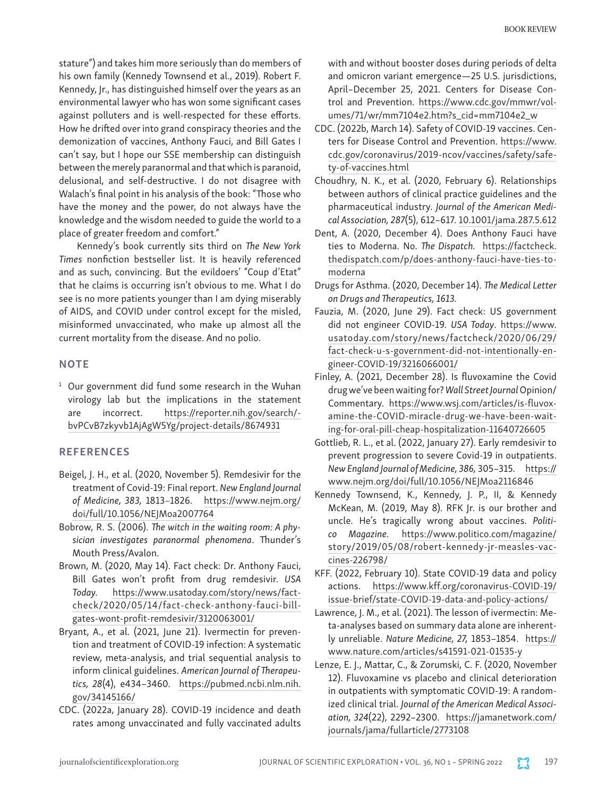stature") and takes him more seriously than do members of his own family (Kennedy Townsend et al., 2019). Robert F. Kennedy, Jr., has distinguished himself over the years as an environmental lawyer who has won some significant cases against polluters and is well-respected for these efforts. How he drifted over into grand conspiracy theories and the demonization of vaccines, Anthony Fauci, and Bill Gates I can't say, but I hope our SSE membership can distinguish between the merely paranormal and that which is paranoid, delusional, and self-destructive. I do not disagree with Walach's final point in his analysis of the book: "Those who have the money and the power, do not always have the knowledge and the wisdom needed to guide the world to a place of greater freedom and comfort."

Kennedy's book currently sits third on *The New York Times* nonfiction bestseller list. It is heavily referenced and as such, convincing. But the evildoers' "Coup d'Etat" that he claims is occurring isn't obvious to me. What I do see is no more patients younger than I am dying miserably of AIDS, and COVID under control except for the misled, misinformed unvaccinated, who make up almost all the current mortality from the disease. And no polio.

## **NOTE**

 $1$  Our government did fund some research in the Wuhan virology lab but the implications in the statement are incorrect. [https://reporter.nih.gov/search/](https://reporter.nih.gov/search/-bvPCvB7zkyvb1AjAgW5Yg/project-details/8674931 ) [bvPCvB7zkyvb1AjAgW5Yg/project-details/8674931](https://reporter.nih.gov/search/-bvPCvB7zkyvb1AjAgW5Yg/project-details/8674931 )

## **REFERENCES**

- Beigel, J. H., et al. (2020, November 5). Remdesivir for the treatment of Covid-19: Final report. *New England Journal of Medicine, 383,* 1813–1826. [https://www.nejm.org/](https://www.nejm.org/doi/full/10.1056/NEJMoa2007764) [doi/full/10.1056/NEJMoa2007764](https://www.nejm.org/doi/full/10.1056/NEJMoa2007764)
- Bobrow, R. S. (2006). *The witch in the waiting room: A physician investigates paranormal phenomena*. Thunder's Mouth Press/Avalon.
- Brown, M. (2020, May 14). Fact check: Dr. Anthony Fauci, Bill Gates won't profit from drug remdesivir. *USA Today.* [https://www.usatoday.com/story/news/fact](https://www.usatoday.com/story/news/factcheck/2020/05/14/fact-check-anthony-fauci-bill-gates-wont-profit-remdesivir/3120063001/)[check/2020/05/14/fact-check-anthony-fauci-bill](https://www.usatoday.com/story/news/factcheck/2020/05/14/fact-check-anthony-fauci-bill-gates-wont-profit-remdesivir/3120063001/)[gates-wont-profit-remdesivir/3120063001/](https://www.usatoday.com/story/news/factcheck/2020/05/14/fact-check-anthony-fauci-bill-gates-wont-profit-remdesivir/3120063001/)
- Bryant, A., et al. (2021, June 21). Ivermectin for prevention and treatment of COVID-19 infection: A systematic review, meta-analysis, and trial sequential analysis to inform clinical guidelines. *American Journal of Therapeutics, 28*(4), e434–3460. [https://pubmed.ncbi.nlm.nih.](https://pubmed.ncbi.nlm.nih.gov/34145166/) [gov/34145166/](https://pubmed.ncbi.nlm.nih.gov/34145166/)
- CDC. (2022a, January 28). COVID-19 incidence and death rates among unvaccinated and fully vaccinated adults

with and without booster doses during periods of delta and omicron variant emergence—25 U.S. jurisdictions, April–December 25, 2021. Centers for Disease Control and Prevention. [https://www.cdc.gov/mmwr/vol](https://www.cdc.gov/mmwr/volumes/71/wr/mm7104e2.htm?s_cid=mm7104e2_w)[umes/71/wr/mm7104e2.htm?s\\_cid=mm7104e2\\_w](https://www.cdc.gov/mmwr/volumes/71/wr/mm7104e2.htm?s_cid=mm7104e2_w)

- CDC. (2022b, March 14). Safety of COVID-19 vaccines. Centers for Disease Control and Prevention. [https://www.](https://www.cdc.gov/coronavirus/2019-ncov/vaccines/safety/safety-of-vaccines.html) [cdc.gov/coronavirus/2019-ncov/vaccines/safety/safe](https://www.cdc.gov/coronavirus/2019-ncov/vaccines/safety/safety-of-vaccines.html)[ty-of-vaccines.html](https://www.cdc.gov/coronavirus/2019-ncov/vaccines/safety/safety-of-vaccines.html)
- Choudhry, N. K., et al. (2020, February 6). Relationships between authors of clinical practice guidelines and the pharmaceutical industry. *Journal of the American Medical Association, 287*(5), 612–617. [10.1001/jama.287.5.612](https://doi.org/10.1001/jama.287.5.612)
- Dent, A. (2020, December 4). Does Anthony Fauci have ties to Moderna. No. *The Dispatch.* [https://factcheck.](https://factcheck.thedispatch.com/p/does-anthony-fauci-have-ties-to-moderna) [thedispatch.com/p/does-anthony-fauci-have-ties-to](https://factcheck.thedispatch.com/p/does-anthony-fauci-have-ties-to-moderna)[moderna](https://factcheck.thedispatch.com/p/does-anthony-fauci-have-ties-to-moderna)
- Drugs for Asthma. (2020, December 14). *The Medical Letter on Drugs and Therapeutics, 1613.*
- Fauzia, M. (2020, June 29). Fact check: US government did not engineer COVID-19. *USA Today*. [https://www.](https://www.usatoday.com/story/news/factcheck/2020/06/29/fact-check-u-s-government-did-not-intentionally-engineer-COVID-19/3216066001/) [usatoday.com/story/news/factcheck/2020/06/29/](https://www.usatoday.com/story/news/factcheck/2020/06/29/fact-check-u-s-government-did-not-intentionally-engineer-COVID-19/3216066001/) [fact-check-u-s-government-did-not-intentionally-en](https://www.usatoday.com/story/news/factcheck/2020/06/29/fact-check-u-s-government-did-not-intentionally-engineer-COVID-19/3216066001/)[gineer-COVID-19/3216066001/](https://www.usatoday.com/story/news/factcheck/2020/06/29/fact-check-u-s-government-did-not-intentionally-engineer-COVID-19/3216066001/)
- Finley, A. (2021, December 28). Is fluvoxamine the Covid drug we've been waiting for? *Wall Street Journal* Opinion/ Commentary. [https://www.wsj.com/articles/is-fluvox](https://www.wsj.com/articles/is-fluvoxamine-the-COVID-miracle-drug-we-have-been-waiting-for-oral-pill-cheap-hospitalization-11640726605)[amine-the-COVID-miracle-drug-we-have-been-wait](https://www.wsj.com/articles/is-fluvoxamine-the-COVID-miracle-drug-we-have-been-waiting-for-oral-pill-cheap-hospitalization-11640726605)[ing-for-oral-pill-cheap-hospitalization-11640726605](https://www.wsj.com/articles/is-fluvoxamine-the-COVID-miracle-drug-we-have-been-waiting-for-oral-pill-cheap-hospitalization-11640726605)
- Gottlieb, R. L., et al. (2022, January 27). Early remdesivir to prevent progression to severe Covid-19 in outpatients. *New England Journal of Medicine, 386,* 305–315. [https://](https://www.nejm.org/doi/full/10.1056/NEJMoa2116846) [www.nejm.org/doi/full/10.1056/NEJMoa2116846](https://www.nejm.org/doi/full/10.1056/NEJMoa2116846)
- Kennedy Townsend, K., Kennedy, J. P., II, & Kennedy McKean, M. (2019, May 8). RFK Jr. is our brother and uncle. He's tragically wrong about vaccines. *Politico Magazine.* [https://www.politico.com/magazine/](https://www.politico.com/magazine/story/2019/05/08/robert-kennedy-jr-measles-vaccines-226798/) [story/2019/05/08/robert-kennedy-jr-measles-vac](https://www.politico.com/magazine/story/2019/05/08/robert-kennedy-jr-measles-vaccines-226798/)[cines-226798/](https://www.politico.com/magazine/story/2019/05/08/robert-kennedy-jr-measles-vaccines-226798/)
- KFF. (2022, February 10). State COVID-19 data and policy actions. [https://www.kff.org/coronavirus-COVID-19/](https://www.kff.org/coronavirus-COVID-19/issue-brief/state-COVID-19-data-and-policy-actions/) [issue-brief/state-COVID-19-data-and-policy-actions/](https://www.kff.org/coronavirus-COVID-19/issue-brief/state-COVID-19-data-and-policy-actions/)
- Lawrence, J. M., et al. (2021). The lesson of ivermectin: Meta-analyses based on summary data alone are inherently unreliable. *Nature Medicine, 27,* 1853–1854. https:// www.nature.com/articles/s41591-021-01535-y
- Lenze, E. J., Mattar, C., & Zorumski, C. F. (2020, November 12). Fluvoxamine vs placebo and clinical deterioration in outpatients with symptomatic COVID-19: A randomized clinical trial. *Journal of the American Medical Association, 324*(22), 2292–2300. [https://jamanetwork.com/](https://jamanetwork.com/journals/jama/fullarticle/2773108) [journals/jama/fullarticle/2773108](https://jamanetwork.com/journals/jama/fullarticle/2773108)